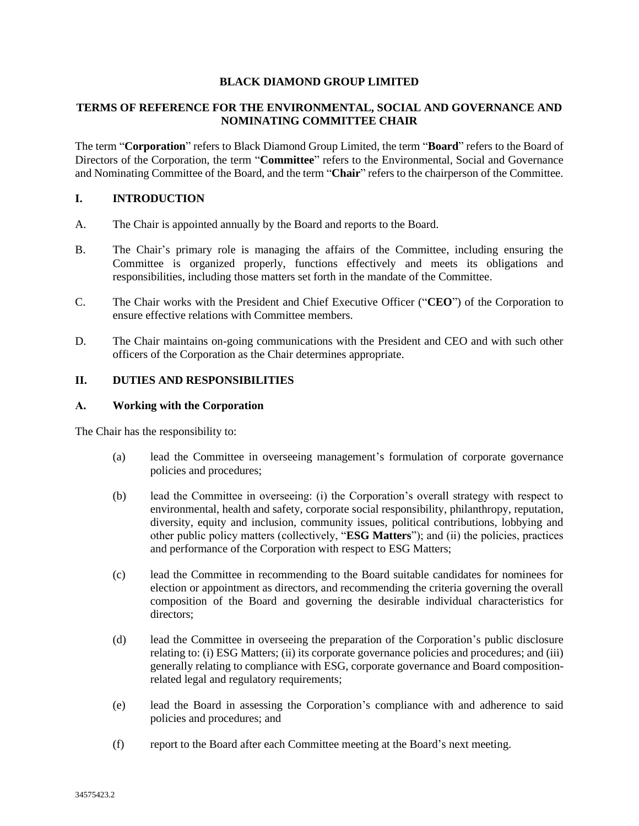### **BLACK DIAMOND GROUP LIMITED**

# **TERMS OF REFERENCE FOR THE ENVIRONMENTAL, SOCIAL AND GOVERNANCE AND NOMINATING COMMITTEE CHAIR**

The term "**Corporation**" refers to Black Diamond Group Limited, the term "**Board**" refers to the Board of Directors of the Corporation, the term "**Committee**" refers to the Environmental, Social and Governance and Nominating Committee of the Board, and the term "**Chair**" refers to the chairperson of the Committee.

### **I. INTRODUCTION**

- A. The Chair is appointed annually by the Board and reports to the Board.
- B. The Chair's primary role is managing the affairs of the Committee, including ensuring the Committee is organized properly, functions effectively and meets its obligations and responsibilities, including those matters set forth in the mandate of the Committee.
- C. The Chair works with the President and Chief Executive Officer ("**CEO**") of the Corporation to ensure effective relations with Committee members.
- D. The Chair maintains on-going communications with the President and CEO and with such other officers of the Corporation as the Chair determines appropriate.

# **II. DUTIES AND RESPONSIBILITIES**

### **A. Working with the Corporation**

The Chair has the responsibility to:

- (a) lead the Committee in overseeing management's formulation of corporate governance policies and procedures;
- (b) lead the Committee in overseeing: (i) the Corporation's overall strategy with respect to environmental, health and safety, corporate social responsibility, philanthropy, reputation, diversity, equity and inclusion, community issues, political contributions, lobbying and other public policy matters (collectively, "**ESG Matters**"); and (ii) the policies, practices and performance of the Corporation with respect to ESG Matters;
- (c) lead the Committee in recommending to the Board suitable candidates for nominees for election or appointment as directors, and recommending the criteria governing the overall composition of the Board and governing the desirable individual characteristics for directors;
- (d) lead the Committee in overseeing the preparation of the Corporation's public disclosure relating to: (i) ESG Matters; (ii) its corporate governance policies and procedures; and (iii) generally relating to compliance with ESG, corporate governance and Board compositionrelated legal and regulatory requirements;
- (e) lead the Board in assessing the Corporation's compliance with and adherence to said policies and procedures; and
- (f) report to the Board after each Committee meeting at the Board's next meeting.